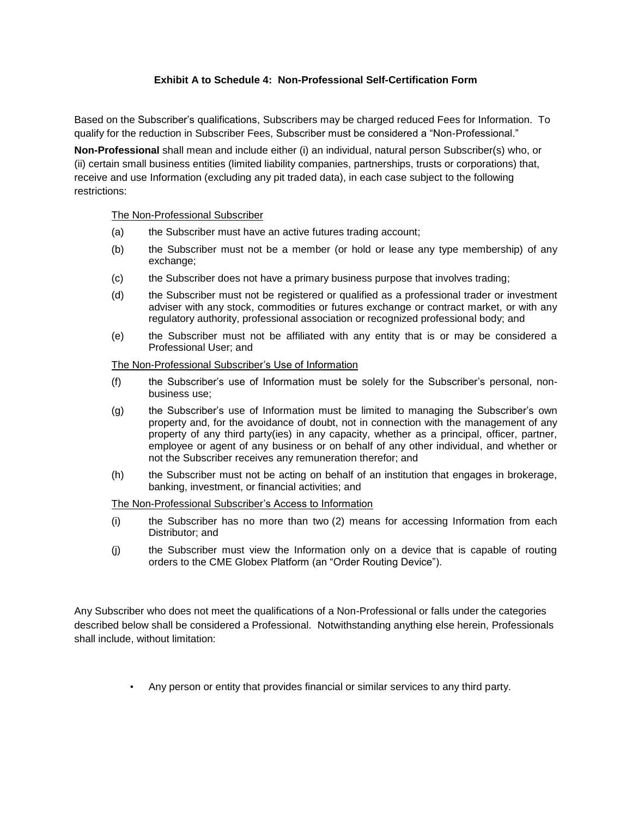## **Exhibit A to Schedule 4: Non-Professional Self-Certification Form**

Based on the Subscriber's qualifications, Subscribers may be charged reduced Fees for Information. To qualify for the reduction in Subscriber Fees, Subscriber must be considered a "Non-Professional."

**Non-Professional** shall mean and include either (i) an individual, natural person Subscriber(s) who, or (ii) certain small business entities (limited liability companies, partnerships, trusts or corporations) that, receive and use Information (excluding any pit traded data), in each case subject to the following restrictions:

The Non-Professional Subscriber

- (a) the Subscriber must have an active futures trading account;
- (b) the Subscriber must not be a member (or hold or lease any type membership) of any exchange;
- (c) the Subscriber does not have a primary business purpose that involves trading;
- (d) the Subscriber must not be registered or qualified as a professional trader or investment adviser with any stock, commodities or futures exchange or contract market, or with any regulatory authority, professional association or recognized professional body; and
- (e) the Subscriber must not be affiliated with any entity that is or may be considered a Professional User; and

## The Non-Professional Subscriber's Use of Information

- (f) the Subscriber's use of Information must be solely for the Subscriber's personal, nonbusiness use;
- (g) the Subscriber's use of Information must be limited to managing the Subscriber's own property and, for the avoidance of doubt, not in connection with the management of any property of any third party(ies) in any capacity, whether as a principal, officer, partner, employee or agent of any business or on behalf of any other individual, and whether or not the Subscriber receives any remuneration therefor; and
- (h) the Subscriber must not be acting on behalf of an institution that engages in brokerage, banking, investment, or financial activities; and

## The Non-Professional Subscriber's Access to Information

- (i) the Subscriber has no more than two (2) means for accessing Information from each Distributor; and
- (j) the Subscriber must view the Information only on a device that is capable of routing orders to the CME Globex Platform (an "Order Routing Device").

Any Subscriber who does not meet the qualifications of a Non-Professional or falls under the categories described below shall be considered a Professional. Notwithstanding anything else herein, Professionals shall include, without limitation:

Any person or entity that provides financial or similar services to any third party.